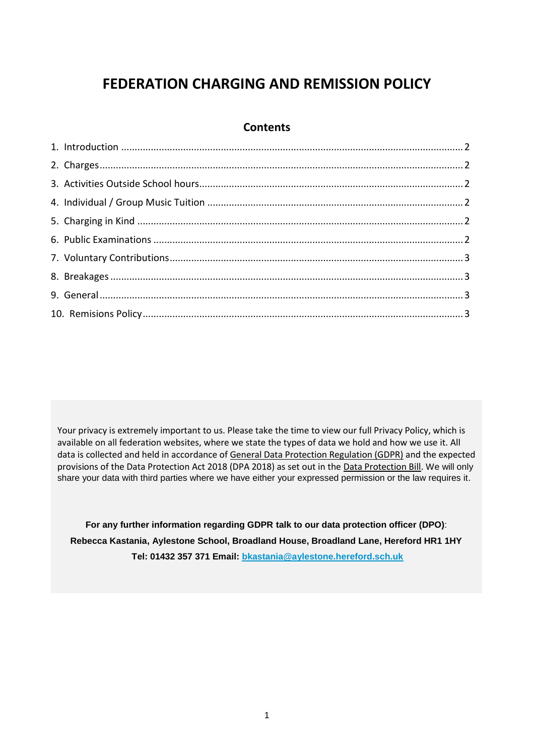# **FEDERATION CHARGING AND REMISSION POLICY**

#### **Contents**

Your privacy is extremely important to us. Please take the time to view our full Privacy Policy, which is available on all federation websites, where we state the types of data we hold and how we use it. All data is collected and held in accordance of [General Data Protection Regulation \(GDPR\)](http://data.consilium.europa.eu/doc/document/ST-5419-2016-INIT/en/pdf) and the expected provisions of the Data Protection Act 2018 (DPA 2018) as set out in the [Data Protection Bill.](https://publications.parliament.uk/pa/bills/cbill/2017-2019/0153/18153.pdf) We will only share your data with third parties where we have either your expressed permission or the law requires it.

**For any further information regarding GDPR talk to our data protection officer (DPO)**: **Rebecca Kastania, Aylestone School, Broadland House, Broadland Lane, Hereford HR1 1HY Tel: 01432 357 371 Email: [bkastania@aylestone.hereford.sch.uk](mailto:bkastania@aylestone.hereford.sch.uk)**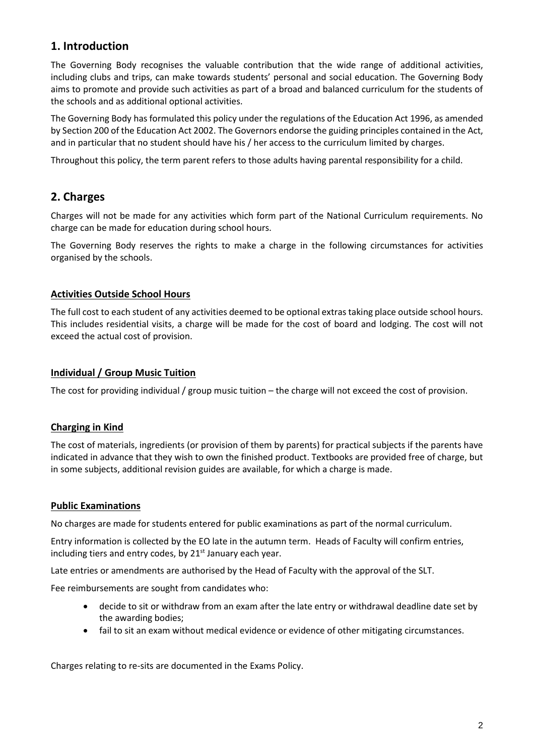## **1. Introduction**

The Governing Body recognises the valuable contribution that the wide range of additional activities, including clubs and trips, can make towards students' personal and social education. The Governing Body aims to promote and provide such activities as part of a broad and balanced curriculum for the students of the schools and as additional optional activities.

The Governing Body has formulated this policy under the regulations of the Education Act 1996, as amended by Section 200 of the Education Act 2002. The Governors endorse the guiding principles contained in the Act, and in particular that no student should have his / her access to the curriculum limited by charges.

Throughout this policy, the term parent refers to those adults having parental responsibility for a child.

# **2. Charges**

Charges will not be made for any activities which form part of the National Curriculum requirements. No charge can be made for education during school hours.

The Governing Body reserves the rights to make a charge in the following circumstances for activities organised by the schools.

#### **Activities Outside School Hours**

The full cost to each student of any activities deemed to be optional extras taking place outside school hours. This includes residential visits, a charge will be made for the cost of board and lodging. The cost will not exceed the actual cost of provision.

#### **Individual / Group Music Tuition**

The cost for providing individual / group music tuition – the charge will not exceed the cost of provision.

#### **Charging in Kind**

The cost of materials, ingredients (or provision of them by parents) for practical subjects if the parents have indicated in advance that they wish to own the finished product. Textbooks are provided free of charge, but in some subjects, additional revision guides are available, for which a charge is made.

#### **Public Examinations**

No charges are made for students entered for public examinations as part of the normal curriculum.

Entry information is collected by the EO late in the autumn term. Heads of Faculty will confirm entries, including tiers and entry codes, by  $21<sup>st</sup>$  January each year.

Late entries or amendments are authorised by the Head of Faculty with the approval of the SLT.

Fee reimbursements are sought from candidates who:

- decide to sit or withdraw from an exam after the late entry or withdrawal deadline date set by the awarding bodies;
- fail to sit an exam without medical evidence or evidence of other mitigating circumstances.

Charges relating to re-sits are documented in the Exams Policy.